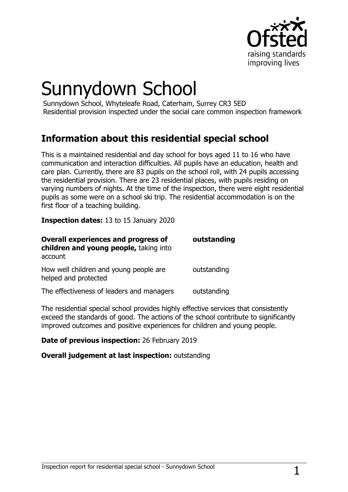

# Sunnydown School

Sunnydown School, Whyteleafe Road, Caterham, Surrey CR3 5ED Residential provision inspected under the social care common inspection framework

## **Information about this residential special school**

This is a maintained residential and day school for boys aged 11 to 16 who have communication and interaction difficulties. All pupils have an education, health and care plan. Currently, there are 83 pupils on the school roll, with 24 pupils accessing the residential provision. There are 23 residential places, with pupils residing on varying numbers of nights. At the time of the inspection, there were eight residential pupils as some were on a school ski trip. The residential accommodation is on the first floor of a teaching building.

**Inspection dates:** 13 to 15 January 2020

| <b>Overall experiences and progress of</b><br>children and young people, taking into<br>account | outstanding |
|-------------------------------------------------------------------------------------------------|-------------|
| How well children and young people are<br>helped and protected                                  | outstanding |
| The effectiveness of leaders and managers                                                       | outstanding |

The residential special school provides highly effective services that consistently exceed the standards of good. The actions of the school contribute to significantly improved outcomes and positive experiences for children and young people.

#### **Date of previous inspection:** 26 February 2019

#### **Overall judgement at last inspection:** outstanding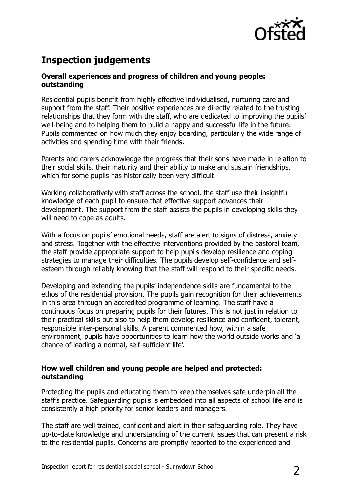

## **Inspection judgements**

#### **Overall experiences and progress of children and young people: outstanding**

Residential pupils benefit from highly effective individualised, nurturing care and support from the staff. Their positive experiences are directly related to the trusting relationships that they form with the staff, who are dedicated to improving the pupils' well-being and to helping them to build a happy and successful life in the future. Pupils commented on how much they enjoy boarding, particularly the wide range of activities and spending time with their friends.

Parents and carers acknowledge the progress that their sons have made in relation to their social skills, their maturity and their ability to make and sustain friendships, which for some pupils has historically been very difficult.

Working collaboratively with staff across the school, the staff use their insightful knowledge of each pupil to ensure that effective support advances their development. The support from the staff assists the pupils in developing skills they will need to cope as adults.

With a focus on pupils' emotional needs, staff are alert to signs of distress, anxiety and stress. Together with the effective interventions provided by the pastoral team, the staff provide appropriate support to help pupils develop resilience and coping strategies to manage their difficulties. The pupils develop self-confidence and selfesteem through reliably knowing that the staff will respond to their specific needs.

Developing and extending the pupils' independence skills are fundamental to the ethos of the residential provision. The pupils gain recognition for their achievements in this area through an accredited programme of learning. The staff have a continuous focus on preparing pupils for their futures. This is not just in relation to their practical skills but also to help them develop resilience and confident, tolerant, responsible inter-personal skills. A parent commented how, within a safe environment, pupils have opportunities to learn how the world outside works and 'a chance of leading a normal, self-sufficient life'.

#### **How well children and young people are helped and protected: outstanding**

Protecting the pupils and educating them to keep themselves safe underpin all the staff's practice. Safeguarding pupils is embedded into all aspects of school life and is consistently a high priority for senior leaders and managers.

The staff are well trained, confident and alert in their safeguarding role. They have up-to-date knowledge and understanding of the current issues that can present a risk to the residential pupils. Concerns are promptly reported to the experienced and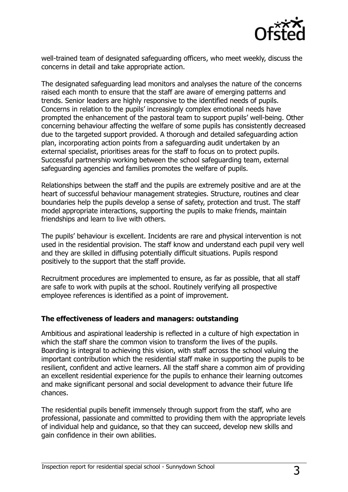

well-trained team of designated safeguarding officers, who meet weekly, discuss the concerns in detail and take appropriate action.

The designated safeguarding lead monitors and analyses the nature of the concerns raised each month to ensure that the staff are aware of emerging patterns and trends. Senior leaders are highly responsive to the identified needs of pupils. Concerns in relation to the pupils' increasingly complex emotional needs have prompted the enhancement of the pastoral team to support pupils' well-being. Other concerning behaviour affecting the welfare of some pupils has consistently decreased due to the targeted support provided. A thorough and detailed safeguarding action plan, incorporating action points from a safeguarding audit undertaken by an external specialist, prioritises areas for the staff to focus on to protect pupils. Successful partnership working between the school safeguarding team, external safeguarding agencies and families promotes the welfare of pupils.

Relationships between the staff and the pupils are extremely positive and are at the heart of successful behaviour management strategies. Structure, routines and clear boundaries help the pupils develop a sense of safety, protection and trust. The staff model appropriate interactions, supporting the pupils to make friends, maintain friendships and learn to live with others.

The pupils' behaviour is excellent. Incidents are rare and physical intervention is not used in the residential provision. The staff know and understand each pupil very well and they are skilled in diffusing potentially difficult situations. Pupils respond positively to the support that the staff provide.

Recruitment procedures are implemented to ensure, as far as possible, that all staff are safe to work with pupils at the school. Routinely verifying all prospective employee references is identified as a point of improvement.

#### **The effectiveness of leaders and managers: outstanding**

Ambitious and aspirational leadership is reflected in a culture of high expectation in which the staff share the common vision to transform the lives of the pupils. Boarding is integral to achieving this vision, with staff across the school valuing the important contribution which the residential staff make in supporting the pupils to be resilient, confident and active learners. All the staff share a common aim of providing an excellent residential experience for the pupils to enhance their learning outcomes and make significant personal and social development to advance their future life chances.

The residential pupils benefit immensely through support from the staff, who are professional, passionate and committed to providing them with the appropriate levels of individual help and guidance, so that they can succeed, develop new skills and gain confidence in their own abilities.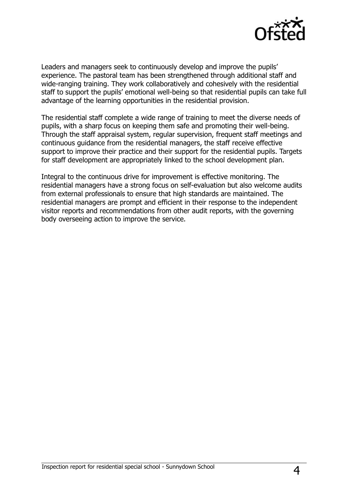

Leaders and managers seek to continuously develop and improve the pupils' experience. The pastoral team has been strengthened through additional staff and wide-ranging training. They work collaboratively and cohesively with the residential staff to support the pupils' emotional well-being so that residential pupils can take full advantage of the learning opportunities in the residential provision.

The residential staff complete a wide range of training to meet the diverse needs of pupils, with a sharp focus on keeping them safe and promoting their well-being. Through the staff appraisal system, regular supervision, frequent staff meetings and continuous guidance from the residential managers, the staff receive effective support to improve their practice and their support for the residential pupils. Targets for staff development are appropriately linked to the school development plan.

Integral to the continuous drive for improvement is effective monitoring. The residential managers have a strong focus on self-evaluation but also welcome audits from external professionals to ensure that high standards are maintained. The residential managers are prompt and efficient in their response to the independent visitor reports and recommendations from other audit reports, with the governing body overseeing action to improve the service.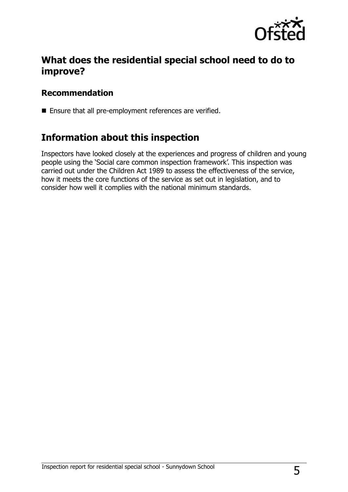

## **What does the residential special school need to do to improve?**

### **Recommendation**

Ensure that all pre-employment references are verified.

## **Information about this inspection**

Inspectors have looked closely at the experiences and progress of children and young people using the 'Social care common inspection framework'. This inspection was carried out under the Children Act 1989 to assess the effectiveness of the service, how it meets the core functions of the service as set out in legislation, and to consider how well it complies with the national minimum standards.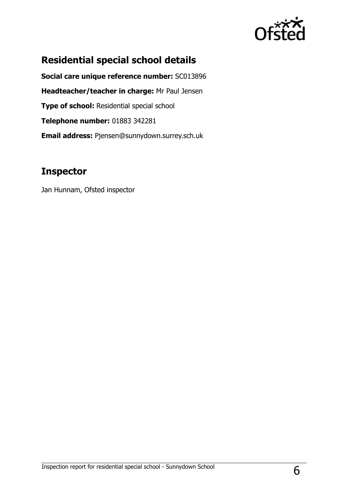

## **Residential special school details**

**Social care unique reference number:** SC013896 **Headteacher/teacher in charge:** Mr Paul Jensen **Type of school: Residential special school Telephone number:** 01883 342281 **Email address:** Pjensen@sunnydown.surrey.sch.uk

## **Inspector**

Jan Hunnam, Ofsted inspector